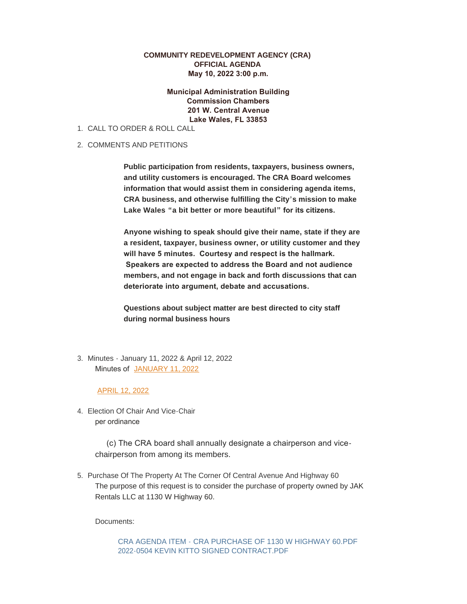## **COMMUNITY REDEVELOPMENT AGENCY (CRA) OFFICIAL AGENDA May 10, 2022 3:00 p.m.**

## **Municipal Administration Building Commission Chambers 201 W. Central Avenue Lake Wales, FL 33853**

- CALL TO ORDER & ROLL CALL 1.
- 2. COMMENTS AND PETITIONS

**Public participation from residents, taxpayers, business owners, and utility customers is encouraged. The CRA Board welcomes information that would assist them in considering agenda items, CRA business, and otherwise fulfilling the City's mission to make Lake Wales "a bit better or more beautiful" for its citizens.** 

**Anyone wishing to speak should give their name, state if they are a resident, taxpayer, business owner, or utility customer and they will have 5 minutes. Courtesy and respect is the hallmark. Speakers are expected to address the Board and not audience members, and not engage in back and forth discussions that can deteriorate into argument, debate and accusations.** 

**Questions about subject matter are best directed to city staff during normal business hours**

Minutes - January 11, 2022 & April 12, 2022 3. Minutes of JANUARY 11, 2022

## APRIL 12, 2022

Election Of Chair And Vice-Chair 4. per ordinance

> (c) The CRA board shall annually designate a chairperson and vicechairperson from among its members.

5. Purchase Of The Property At The Corner Of Central Avenue And Highway 60 The purpose of this request is to consider the purchase of property owned by JAK Rentals LLC at 1130 W Highway 60.

Documents:

CRA AGENDA ITEM - CRA PURCHASE OF 1130 W HIGHWAY 60.PDF 2022-0504 KEVIN KITTO SIGNED CONTRACT.PDF